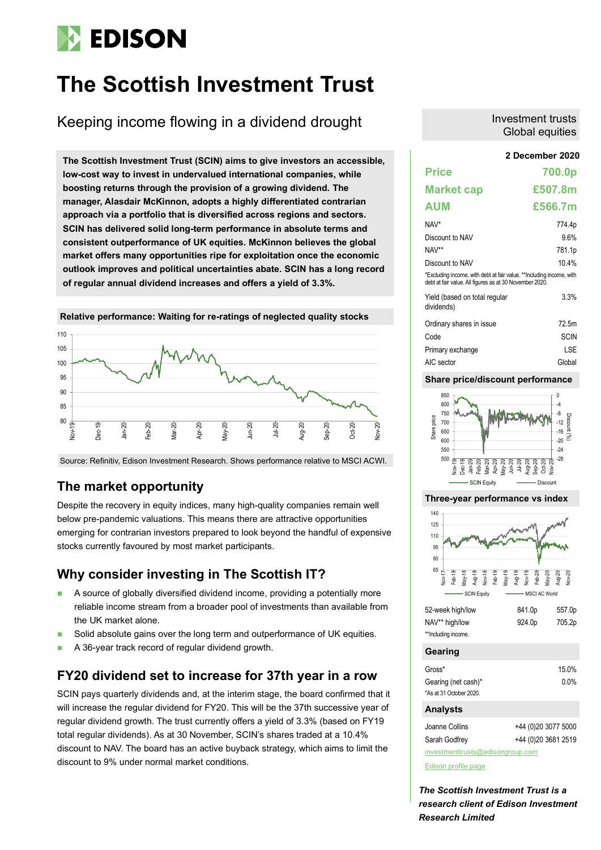# **EDISON**

# **The Scottish Investment Trust**

Keeping income flowing in a dividend drought

**2 December 2020 The Scottish Investment Trust (SCIN) aims to give investors an accessible, low-cost way to invest in undervalued international companies, while boosting returns through the provision of a growing dividend. The manager, Alasdair McKinnon, adopts a highly differentiated contrarian approach via a portfolio that is diversified across regions and sectors. SCIN has delivered solid long-term performance in absolute terms and consistent outperformance of UK equities. McKinnon believes the global market offers many opportunities ripe for exploitation once the economic outlook improves and political uncertainties abate. SCIN has a long record of regular annual dividend increases and offers a yield of 3.3%.**



Source: Refinitiv, Edison Investment Research. Shows performance relative to MSCI ACWI.

### **The market opportunity**

Despite the recovery in equity indices, many high-quality companies remain well below pre-pandemic valuations. This means there are attractive opportunities emerging for contrarian investors prepared to look beyond the handful of expensive stocks currently favoured by most market participants.

### **Why consider investing in The Scottish IT?**

- A source of globally diversified dividend income, providing a potentially more reliable income stream from a broader pool of investments than available from the UK market alone.
- Solid absolute gains over the long term and outperformance of UK equities.
- A 36-year track record of regular dividend growth.

### **FY20 dividend set to increase for 37th year in a row**

SCIN pays quarterly dividends and, at the interim stage, the board confirmed that it will increase the regular dividend for FY20. This will be the 37th successive year of regular dividend growth. The trust currently offers a yield of 3.3% (based on FY19 total regular dividends). As at 30 November, SCIN's shares traded at a 10.4% discount to NAV. The board has an active buyback strategy, which aims to limit the discount to 9% under normal market conditions.

### Investment trusts Global equities

| <b>Price</b>                                                                                                                    | 700.0p      |
|---------------------------------------------------------------------------------------------------------------------------------|-------------|
| <b>Market cap</b>                                                                                                               | £507.8m     |
| <b>AUM</b>                                                                                                                      | £566.7m     |
| NAV*                                                                                                                            | 774.4p      |
| Discount to NAV                                                                                                                 | 9.6%        |
| NAV**                                                                                                                           | 781.1p      |
| Discount to NAV                                                                                                                 | 104%        |
| *Excluding income, with debt at fair value. **Including income, with<br>debt at fair value. All figures as at 30 November 2020. |             |
| Yield (based on total regular<br>dividends)                                                                                     | 3.3%        |
| Ordinary shares in issue                                                                                                        | 72 5m       |
| Code                                                                                                                            | <b>SCIN</b> |
| Primary exchange                                                                                                                | LSE         |
| AIC sector                                                                                                                      | Global      |

### **Share price/discount performance**



### **Three-year performance vs index**



| 52-week high/low    | 841.0p | 557.0p |
|---------------------|--------|--------|
| NAV** high/low      | 924.0p | 705.2p |
| **Including income. |        |        |

### **Gearing**

| Gross*                  | 15.0%   |
|-------------------------|---------|
| Gearing (net cash)*     | $0.0\%$ |
| *As at 31 October 2020. |         |

### **Analysts**

| Joanne Collins                   | +44 (0) 20 3077 5000 |  |  |  |  |  |
|----------------------------------|----------------------|--|--|--|--|--|
| Sarah Godfrey                    | +44 (0) 20 3681 2519 |  |  |  |  |  |
| investmenttrusts@edisongroup.com |                      |  |  |  |  |  |

[Edison profile page](https://www.edisongroup.com/company/the-scottish-investment-trust/2525/)

*The Scottish Investment Trust is a research client of Edison Investment Research Limited*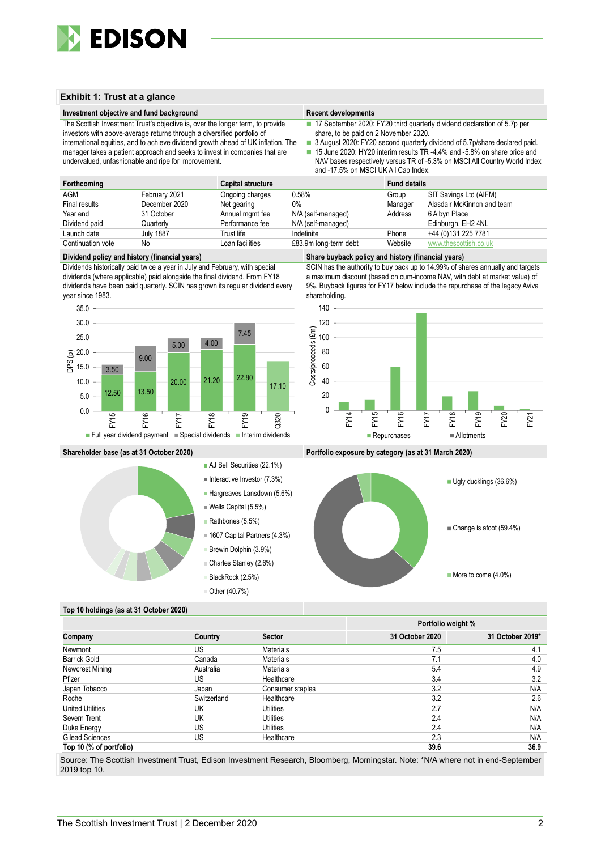

### **Exhibit 1: Trust at a glance**

#### **Investment objective and fund background Recent developments Recent developments**

- 17 September 2020: FY20 third quarterly dividend declaration of 5.7p per share, to be paid on 2 November 2020.
- investors with above-average returns through a diversified portfolio of international equities, and to achieve dividend growth ahead of UK inflation. The manager takes a patient approach and seeks to invest in companies that are undervalued, unfashionable and ripe for improvement.

The Scottish Investment Trust's objective is, over the longer term, to provide

- 3 August 2020: FY20 second quarterly dividend of 5.7p/share declared paid.
- 15 June 2020: HY20 interim results TR -4.4% and -5.8% on share price and NAV bases respectively versus TR of -5.3% on MSCI All Country World Index and -17.5% on MSCI UK All Cap Index.

| Forthcoming       |                  | <b>Capital structure</b> |                       | <b>Fund details</b> |                            |
|-------------------|------------------|--------------------------|-----------------------|---------------------|----------------------------|
| AGM               | February 2021    | Ongoing charges          | 0.58%                 | Group               | SIT Savings Ltd (AIFM)     |
| Final results     | December 2020    | Net gearing              | $0\%$                 | Manager             | Alasdair McKinnon and team |
| Year end          | 31 October       | Annual mgmt fee          | N/A (self-managed)    | Address             | 6 Albyn Place              |
| Dividend paid     | Quarterlv        | Performance fee          | N/A (self-managed)    |                     | Edinburgh, EH2 4NL         |
| Launch date       | <b>July 1887</b> | Trust life               | Indefinite            | Phone               | +44 (0)131 225 7781        |
| Continuation vote | No               | Loan facilities          | £83.9m long-term debt | Website             | www.thescottish.co.uk      |

#### **Dividend policy and history (financial years) Share buyback policy and history (financial years)**

Dividends historically paid twice a year in July and February, with special dividends (where applicable) paid alongside the final dividend. From FY18 dividends have been paid quarterly. SCIN has grown its regular dividend every year since 1983.





SCIN has the authority to buy back up to 14.99% of shares annually and targets a maximum discount (based on cum-income NAV, with debt at market value) of 9%. Buyback figures for FY17 below include the repurchase of the legacy Aviva shareholding.



**Shareholder base (as at 31 October 2020) Portfolio exposure by category (as at 31 March 2020)**



#### **Top 10 holdings (as at 31 October 2020)**

|                         |             |                  |                 | Portfolio weight % |
|-------------------------|-------------|------------------|-----------------|--------------------|
| Company                 | Country     | <b>Sector</b>    | 31 October 2020 | 31 October 2019*   |
| Newmont                 | US          | <b>Materials</b> | 7.5             | 4.1                |
| <b>Barrick Gold</b>     | Canada      | <b>Materials</b> | 7.1             | 4.0                |
| Newcrest Mining         | Australia   | <b>Materials</b> | 5.4             | 4.9                |
| Pfizer                  | US          | Healthcare       | 3.4             | 3.2                |
| Japan Tobacco           | Japan       | Consumer staples | 3.2             | N/A                |
| Roche                   | Switzerland | Healthcare       | 3.2             | 2.6                |
| <b>United Utilities</b> | UK          | Utilities        | 2.7             | N/A                |
| Severn Trent            | UK          | Utilities        | 2.4             | N/A                |
| Duke Energy             | US          | Utilities        | 2.4             | N/A                |
| Gilead Sciences         | US          | Healthcare       | 2.3             | N/A                |
| Top 10 (% of portfolio) |             |                  | 39.6            | 36.9               |

Source: The Scottish Investment Trust, Edison Investment Research, Bloomberg, Morningstar. Note: \*N/A where not in end-September 2019 top 10.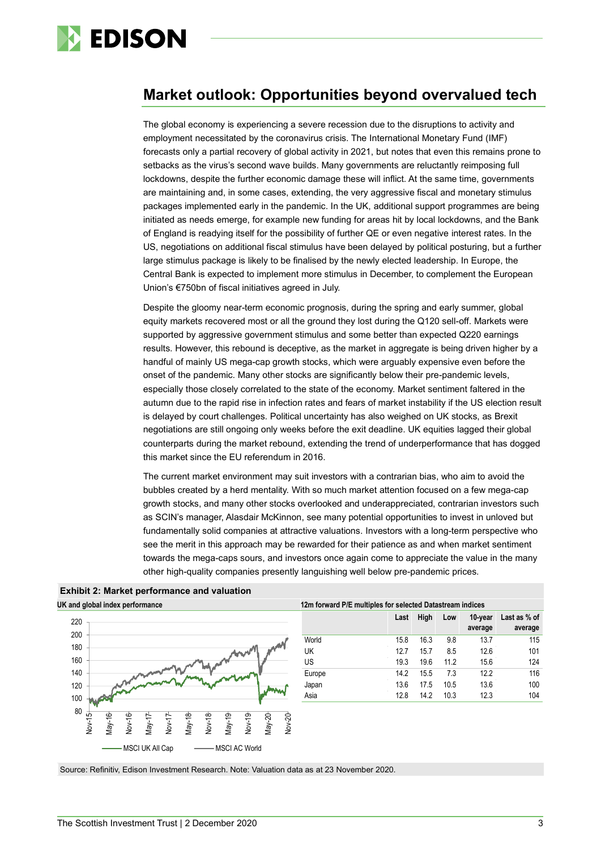

### **Market outlook: Opportunities beyond overvalued tech**

The global economy is experiencing a severe recession due to the disruptions to activity and employment necessitated by the coronavirus crisis. The International Monetary Fund (IMF) forecasts only a partial recovery of global activity in 2021, but notes that even this remains prone to setbacks as the virus's second wave builds. Many governments are reluctantly reimposing full lockdowns, despite the further economic damage these will inflict. At the same time, governments are maintaining and, in some cases, extending, the very aggressive fiscal and monetary stimulus packages implemented early in the pandemic. In the UK, additional support programmes are being initiated as needs emerge, for example new funding for areas hit by local lockdowns, and the Bank of England is readying itself for the possibility of further QE or even negative interest rates. In the US, negotiations on additional fiscal stimulus have been delayed by political posturing, but a further large stimulus package is likely to be finalised by the newly elected leadership. In Europe, the Central Bank is expected to implement more stimulus in December, to complement the European Union's €750bn of fiscal initiatives agreed in July.

Despite the gloomy near-term economic prognosis, during the spring and early summer, global equity markets recovered most or all the ground they lost during the Q120 sell-off. Markets were supported by aggressive government stimulus and some better than expected Q220 earnings results. However, this rebound is deceptive, as the market in aggregate is being driven higher by a handful of mainly US mega-cap growth stocks, which were arguably expensive even before the onset of the pandemic. Many other stocks are significantly below their pre-pandemic levels, especially those closely correlated to the state of the economy. Market sentiment faltered in the autumn due to the rapid rise in infection rates and fears of market instability if the US election result is delayed by court challenges. Political uncertainty has also weighed on UK stocks, as Brexit negotiations are still ongoing only weeks before the exit deadline. UK equities lagged their global counterparts during the market rebound, extending the trend of underperformance that has dogged this market since the EU referendum in 2016.

The current market environment may suit investors with a contrarian bias, who aim to avoid the bubbles created by a herd mentality. With so much market attention focused on a few mega-cap growth stocks, and many other stocks overlooked and underappreciated, contrarian investors such as SCIN's manager, Alasdair McKinnon, see many potential opportunities to invest in unloved but fundamentally solid companies at attractive valuations. Investors with a long-term perspective who see the merit in this approach may be rewarded for their patience as and when market sentiment towards the mega-caps sours, and investors once again come to appreciate the value in the many other high-quality companies presently languishing well below pre-pandemic prices.



|        | High<br>10-year<br>Last as % of<br>Last<br>Low |      |      |         |         |  |  |  |  |
|--------|------------------------------------------------|------|------|---------|---------|--|--|--|--|
|        |                                                |      |      | average | average |  |  |  |  |
| World  | 15.8                                           | 16.3 | 9.8  | 13.7    | 115     |  |  |  |  |
| UK     | 12.7                                           | 15.7 | 8.5  | 12.6    | 101     |  |  |  |  |
| US     | 19.3                                           | 19.6 | 11.2 | 15.6    | 124     |  |  |  |  |
| Europe | 14.2                                           | 15.5 | 7.3  | 12.2    | 116     |  |  |  |  |
| Japan  | 13.6                                           | 17.5 | 10.5 | 13.6    | 100     |  |  |  |  |
| Asia   | 12.8                                           | 14.2 | 10.3 | 12.3    | 104     |  |  |  |  |

**Exhibit 2: Market performance and valuation**

Source: Refinitiv, Edison Investment Research. Note: Valuation data as at 23 November 2020.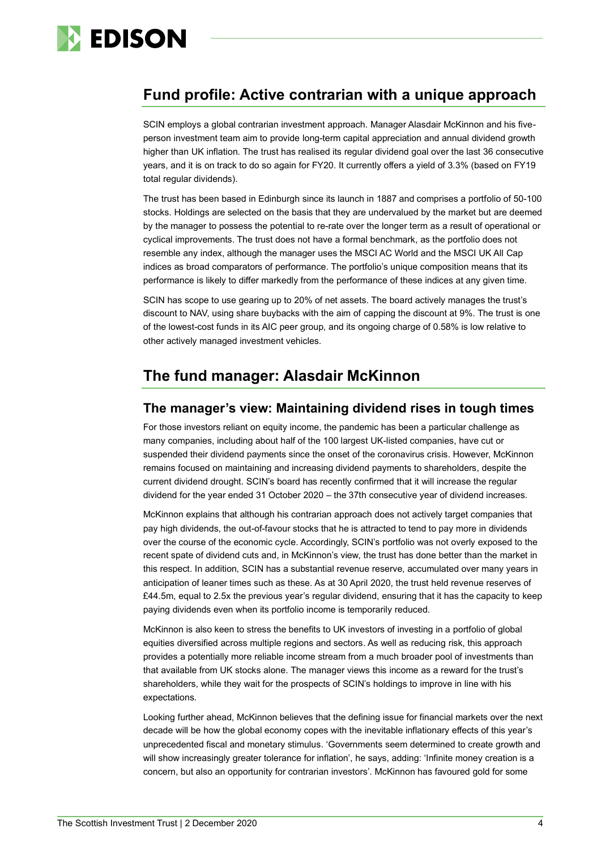

### **Fund profile: Active contrarian with a unique approach**

SCIN employs a global contrarian investment approach. Manager Alasdair McKinnon and his fiveperson investment team aim to provide long-term capital appreciation and annual dividend growth higher than UK inflation. The trust has realised its regular dividend goal over the last 36 consecutive years, and it is on track to do so again for FY20. It currently offers a yield of 3.3% (based on FY19 total regular dividends).

The trust has been based in Edinburgh since its launch in 1887 and comprises a portfolio of 50-100 stocks. Holdings are selected on the basis that they are undervalued by the market but are deemed by the manager to possess the potential to re-rate over the longer term as a result of operational or cyclical improvements. The trust does not have a formal benchmark, as the portfolio does not resemble any index, although the manager uses the MSCI AC World and the MSCI UK All Cap indices as broad comparators of performance. The portfolio's unique composition means that its performance is likely to differ markedly from the performance of these indices at any given time.

SCIN has scope to use gearing up to 20% of net assets. The board actively manages the trust's discount to NAV, using share buybacks with the aim of capping the discount at 9%. The trust is one of the lowest-cost funds in its AIC peer group, and its ongoing charge of 0.58% is low relative to other actively managed investment vehicles.

## **The fund manager: Alasdair McKinnon**

### **The manager's view: Maintaining dividend rises in tough times**

For those investors reliant on equity income, the pandemic has been a particular challenge as many companies, including about half of the 100 largest UK-listed companies, have cut or suspended their dividend payments since the onset of the coronavirus crisis. However, McKinnon remains focused on maintaining and increasing dividend payments to shareholders, despite the current dividend drought. SCIN's board has recently confirmed that it will increase the regular dividend for the year ended 31 October 2020 – the 37th consecutive year of dividend increases.

McKinnon explains that although his contrarian approach does not actively target companies that pay high dividends, the out-of-favour stocks that he is attracted to tend to pay more in dividends over the course of the economic cycle. Accordingly, SCIN's portfolio was not overly exposed to the recent spate of dividend cuts and, in McKinnon's view, the trust has done better than the market in this respect. In addition, SCIN has a substantial revenue reserve, accumulated over many years in anticipation of leaner times such as these. As at 30 April 2020, the trust held revenue reserves of £44.5m, equal to 2.5x the previous year's regular dividend, ensuring that it has the capacity to keep paying dividends even when its portfolio income is temporarily reduced.

McKinnon is also keen to stress the benefits to UK investors of investing in a portfolio of global equities diversified across multiple regions and sectors. As well as reducing risk, this approach provides a potentially more reliable income stream from a much broader pool of investments than that available from UK stocks alone. The manager views this income as a reward for the trust's shareholders, while they wait for the prospects of SCIN's holdings to improve in line with his expectations.

Looking further ahead, McKinnon believes that the defining issue for financial markets over the next decade will be how the global economy copes with the inevitable inflationary effects of this year's unprecedented fiscal and monetary stimulus. 'Governments seem determined to create growth and will show increasingly greater tolerance for inflation', he says, adding: 'Infinite money creation is a concern, but also an opportunity for contrarian investors'. McKinnon has favoured gold for some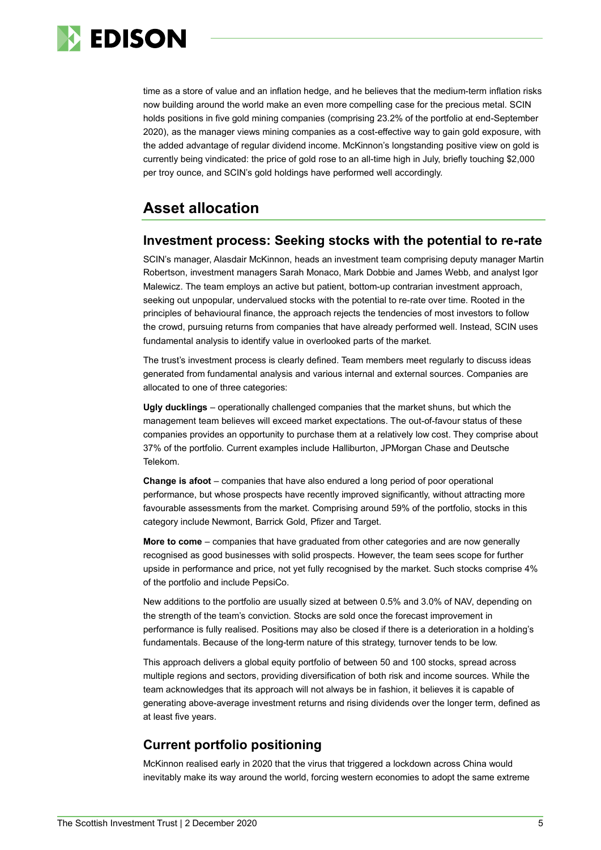

time as a store of value and an inflation hedge, and he believes that the medium-term inflation risks now building around the world make an even more compelling case for the precious metal. SCIN holds positions in five gold mining companies (comprising 23.2% of the portfolio at end-September 2020), as the manager views mining companies as a cost-effective way to gain gold exposure, with the added advantage of regular dividend income. McKinnon's longstanding positive view on gold is currently being vindicated: the price of gold rose to an all-time high in July, briefly touching \$2,000 per troy ounce, and SCIN's gold holdings have performed well accordingly.

### **Asset allocation**

### **Investment process: Seeking stocks with the potential to re-rate**

SCIN's manager, Alasdair McKinnon, heads an investment team comprising deputy manager Martin Robertson, investment managers Sarah Monaco, Mark Dobbie and James Webb, and analyst Igor Malewicz. The team employs an active but patient, bottom-up contrarian investment approach, seeking out unpopular, undervalued stocks with the potential to re-rate over time. Rooted in the principles of behavioural finance, the approach rejects the tendencies of most investors to follow the crowd, pursuing returns from companies that have already performed well. Instead, SCIN uses fundamental analysis to identify value in overlooked parts of the market.

The trust's investment process is clearly defined. Team members meet regularly to discuss ideas generated from fundamental analysis and various internal and external sources. Companies are allocated to one of three categories:

**Ugly ducklings** – operationally challenged companies that the market shuns, but which the management team believes will exceed market expectations. The out-of-favour status of these companies provides an opportunity to purchase them at a relatively low cost. They comprise about 37% of the portfolio. Current examples include Halliburton, JPMorgan Chase and Deutsche Telekom.

**Change is afoot** – companies that have also endured a long period of poor operational performance, but whose prospects have recently improved significantly, without attracting more favourable assessments from the market. Comprising around 59% of the portfolio, stocks in this category include Newmont, Barrick Gold, Pfizer and Target.

**More to come** – companies that have graduated from other categories and are now generally recognised as good businesses with solid prospects. However, the team sees scope for further upside in performance and price, not yet fully recognised by the market. Such stocks comprise 4% of the portfolio and include PepsiCo.

New additions to the portfolio are usually sized at between 0.5% and 3.0% of NAV, depending on the strength of the team's conviction. Stocks are sold once the forecast improvement in performance is fully realised. Positions may also be closed if there is a deterioration in a holding's fundamentals. Because of the long-term nature of this strategy, turnover tends to be low.

This approach delivers a global equity portfolio of between 50 and 100 stocks, spread across multiple regions and sectors, providing diversification of both risk and income sources. While the team acknowledges that its approach will not always be in fashion, it believes it is capable of generating above-average investment returns and rising dividends over the longer term, defined as at least five years.

### **Current portfolio positioning**

McKinnon realised early in 2020 that the virus that triggered a lockdown across China would inevitably make its way around the world, forcing western economies to adopt the same extreme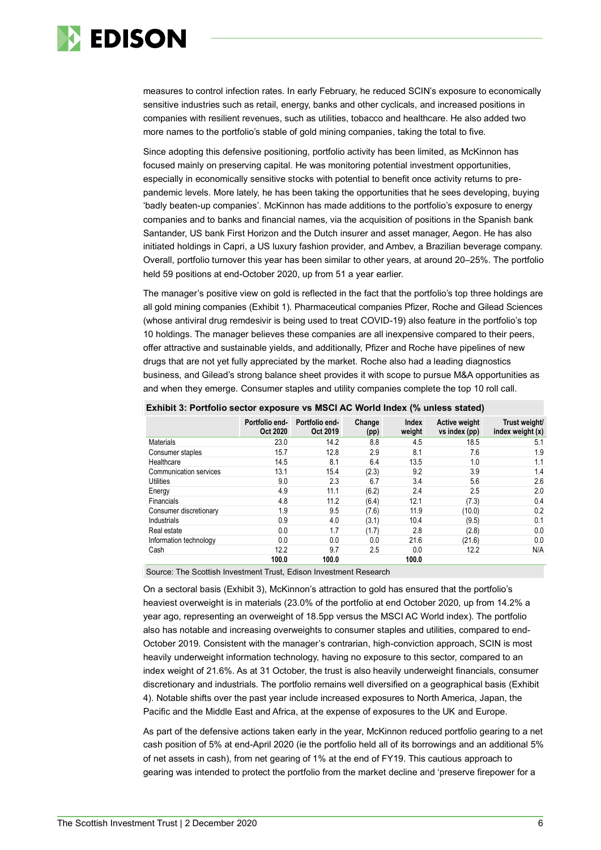

measures to control infection rates. In early February, he reduced SCIN's exposure to economically sensitive industries such as retail, energy, banks and other cyclicals, and increased positions in companies with resilient revenues, such as utilities, tobacco and healthcare. He also added two more names to the portfolio's stable of gold mining companies, taking the total to five.

Since adopting this defensive positioning, portfolio activity has been limited, as McKinnon has focused mainly on preserving capital. He was monitoring potential investment opportunities, especially in economically sensitive stocks with potential to benefit once activity returns to prepandemic levels. More lately, he has been taking the opportunities that he sees developing, buying 'badly beaten-up companies'. McKinnon has made additions to the portfolio's exposure to energy companies and to banks and financial names, via the acquisition of positions in the Spanish bank Santander, US bank First Horizon and the Dutch insurer and asset manager, Aegon. He has also initiated holdings in Capri, a US luxury fashion provider, and Ambev, a Brazilian beverage company. Overall, portfolio turnover this year has been similar to other years, at around 20–25%. The portfolio held 59 positions at end-October 2020, up from 51 a year earlier.

The manager's positive view on gold is reflected in the fact that the portfolio's top three holdings are all gold mining companies (Exhibit 1). Pharmaceutical companies Pfizer, Roche and Gilead Sciences (whose antiviral drug remdesivir is being used to treat COVID-19) also feature in the portfolio's top 10 holdings. The manager believes these companies are all inexpensive compared to their peers, offer attractive and sustainable yields, and additionally, Pfizer and Roche have pipelines of new drugs that are not yet fully appreciated by the market. Roche also had a leading diagnostics business, and Gilead's strong balance sheet provides it with scope to pursue M&A opportunities as and when they emerge. Consumer staples and utility companies complete the top 10 roll call.

|                        | Portfolio end-<br>Oct 2020 | Portfolio end-<br>Oct 2019 | Change<br>(pp) | Index<br>weight | <b>Active weight</b><br>vs index (pp) | Trust weight/<br>index weight (x) |
|------------------------|----------------------------|----------------------------|----------------|-----------------|---------------------------------------|-----------------------------------|
| <b>Materials</b>       | 23.0                       | 14.2                       | 8.8            | 4.5             | 18.5                                  | 5.1                               |
| Consumer staples       | 15.7                       | 12.8                       | 2.9            | 8.1             | 7.6                                   | 1.9                               |
| Healthcare             | 14.5                       | 8.1                        | 6.4            | 13.5            | 1.0                                   | 1.1                               |
| Communication services | 13.1                       | 15.4                       | (2.3)          | 9.2             | 3.9                                   | 1.4                               |
| Utilities              | 9.0                        | 2.3                        | 6.7            | 3.4             | 5.6                                   | 2.6                               |
| Energy                 | 4.9                        | 11.1                       | (6.2)          | 2.4             | 2.5                                   | 2.0                               |
| <b>Financials</b>      | 4.8                        | 11.2                       | (6.4)          | 12.1            | (7.3)                                 | 0.4                               |
| Consumer discretionary | 1.9                        | 9.5                        | (7.6)          | 11.9            | (10.0)                                | 0.2                               |
| Industrials            | 0.9                        | 4.0                        | (3.1)          | 10.4            | (9.5)                                 | 0.1                               |
| Real estate            | 0.0                        | 1.7                        | (1.7)          | 2.8             | (2.8)                                 | 0.0                               |
| Information technology | 0.0                        | 0.0                        | 0.0            | 21.6            | (21.6)                                | 0.0                               |
| Cash                   | 12.2                       | 9.7                        | 2.5            | 0.0             | 12.2                                  | N/A                               |
|                        | 100.0                      | 100.0                      |                | 100.0           |                                       |                                   |

#### **Exhibit 3: Portfolio sector exposure vs MSCI AC World Index (% unless stated)**

Source: The Scottish Investment Trust, Edison Investment Research

On a sectoral basis (Exhibit 3), McKinnon's attraction to gold has ensured that the portfolio's heaviest overweight is in materials (23.0% of the portfolio at end October 2020, up from 14.2% a year ago, representing an overweight of 18.5pp versus the MSCI AC World index). The portfolio also has notable and increasing overweights to consumer staples and utilities, compared to end-October 2019. Consistent with the manager's contrarian, high-conviction approach, SCIN is most heavily underweight information technology, having no exposure to this sector, compared to an index weight of 21.6%. As at 31 October, the trust is also heavily underweight financials, consumer discretionary and industrials. The portfolio remains well diversified on a geographical basis (Exhibit 4). Notable shifts over the past year include increased exposures to North America, Japan, the Pacific and the Middle East and Africa, at the expense of exposures to the UK and Europe.

As part of the defensive actions taken early in the year, McKinnon reduced portfolio gearing to a net cash position of 5% at end-April 2020 (ie the portfolio held all of its borrowings and an additional 5% of net assets in cash), from net gearing of 1% at the end of FY19. This cautious approach to gearing was intended to protect the portfolio from the market decline and 'preserve firepower for a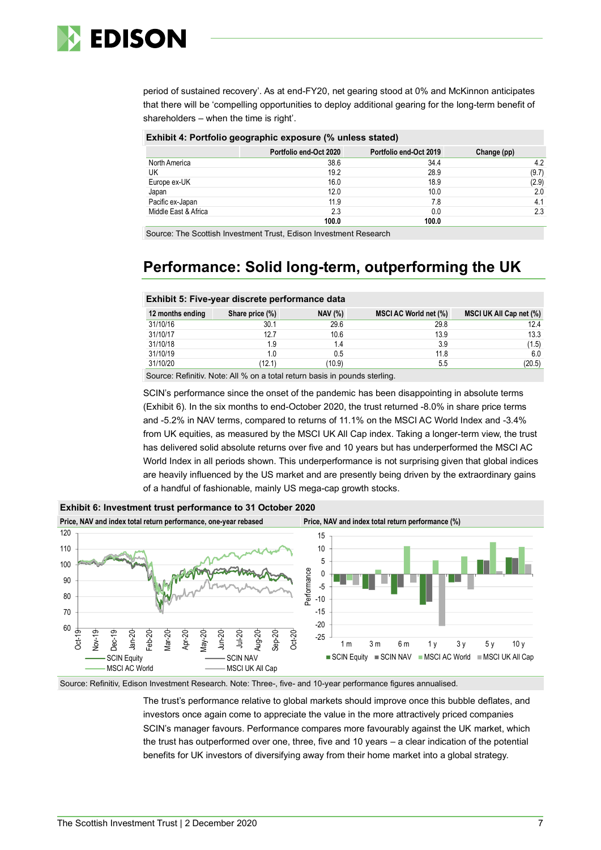

period of sustained recovery'. As at end-FY20, net gearing stood at 0% and McKinnon anticipates that there will be 'compelling opportunities to deploy additional gearing for the long-term benefit of shareholders – when the time is right'.

#### **Exhibit 4: Portfolio geographic exposure (% unless stated)**

|                      | Portfolio end-Oct 2020 | Portfolio end-Oct 2019 | Change (pp) |
|----------------------|------------------------|------------------------|-------------|
| North America        | 38.6                   | 34.4                   | 4.2         |
| UK                   | 19.2                   | 28.9                   | (9.7)       |
| Europe ex-UK         | 16.0                   | 18.9                   | (2.9)       |
| Japan                | 12.0                   | 10.0                   | 2.0         |
| Pacific ex-Japan     | 11.9                   | 7.8                    | 4.1         |
| Middle East & Africa | 2.3                    | 0.0                    | 2.3         |
|                      | 100.0                  | 100.0                  |             |

Source: The Scottish Investment Trust, Edison Investment Research

## **Performance: Solid long-term, outperforming the UK**

#### **Exhibit 5: Five-year discrete performance data**

| 12 months ending | Share price (%) | <b>NAV (%)</b> | MSCI AC World net (%) | MSCI UK All Cap net (%) |
|------------------|-----------------|----------------|-----------------------|-------------------------|
| 31/10/16         | 30.1            | 29.6           | 29.8                  | 12.4                    |
| 31/10/17         | 12.7            | 10.6           | 13.9                  | 13.3                    |
| 31/10/18         | 1.9             | 1.4            | 3.9                   | (1.5)                   |
| 31/10/19         | 1.0             | 0.5            | 11.8                  | 6.0                     |
| 31/10/20         | (12.1)          | (10.9)         | 5.5                   | (20.5)                  |

Source: Refinitiv. Note: All % on a total return basis in pounds sterling.

SCIN's performance since the onset of the pandemic has been disappointing in absolute terms (Exhibit 6). In the six months to end-October 2020, the trust returned -8.0% in share price terms and -5.2% in NAV terms, compared to returns of 11.1% on the MSCI AC World Index and -3.4% from UK equities, as measured by the MSCI UK All Cap index. Taking a longer-term view, the trust has delivered solid absolute returns over five and 10 years but has underperformed the MSCI AC World Index in all periods shown. This underperformance is not surprising given that global indices are heavily influenced by the US market and are presently being driven by the extraordinary gains of a handful of fashionable, mainly US mega-cap growth stocks.



**Exhibit 6: Investment trust performance to 31 October 2020**

Source: Refinitiv, Edison Investment Research. Note: Three-, five- and 10-year performance figures annualised.

The trust's performance relative to global markets should improve once this bubble deflates, and investors once again come to appreciate the value in the more attractively priced companies SCIN's manager favours. Performance compares more favourably against the UK market, which the trust has outperformed over one, three, five and 10 years – a clear indication of the potential benefits for UK investors of diversifying away from their home market into a global strategy.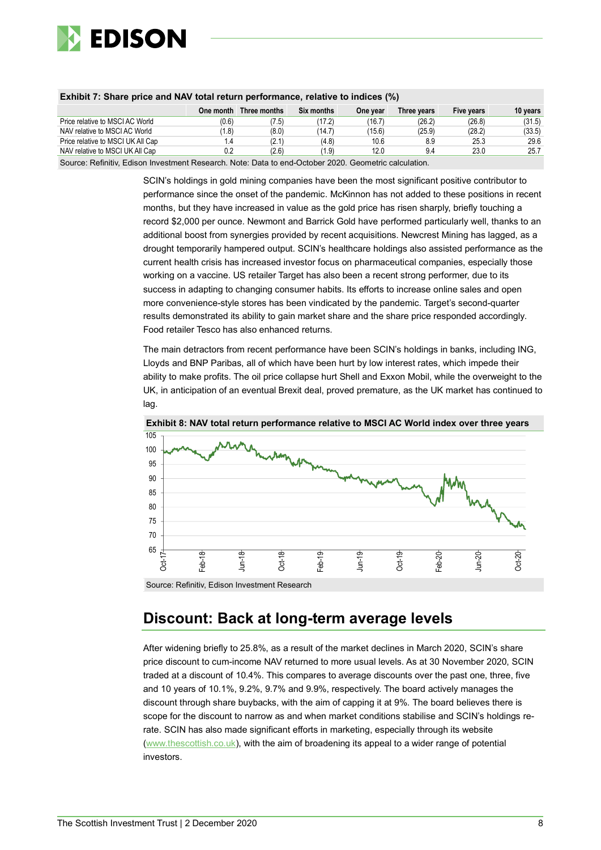

|                                   | One month               | Three months | Six months | One vear | Three vears | Five vears | 10 vears |
|-----------------------------------|-------------------------|--------------|------------|----------|-------------|------------|----------|
| Price relative to MSCI AC World   | (0.6)                   | (7.5)        | (17.2)     | (16.7    | (26.2)      | (26.8)     | (31.5)   |
| NAV relative to MSCI AC World     | 1.8)                    | (8.0)        | (14.7)     | (15.6)   | (25.9)      | (28.2)     | (33.5)   |
| Price relative to MSCI UK All Cap | $\mathsf{I}.\mathsf{4}$ | (2.1)        | (4.8)      | 10.6     | 8.9         | 25.3       | 29.6     |
| NAV relative to MSCI UK All Cap   | 0.2                     | (2.6)        | (1.9)      | 12.0     | 9.4         | 23.0       | 25.7     |
|                                   |                         |              |            |          |             |            |          |

#### **Exhibit 7: Share price and NAV total return performance, relative to indices (%)**

Source: Refinitiv, Edison Investment Research. Note: Data to end-October 2020. Geometric calculation.

SCIN's holdings in gold mining companies have been the most significant positive contributor to performance since the onset of the pandemic. McKinnon has not added to these positions in recent months, but they have increased in value as the gold price has risen sharply, briefly touching a record \$2,000 per ounce. Newmont and Barrick Gold have performed particularly well, thanks to an additional boost from synergies provided by recent acquisitions. Newcrest Mining has lagged, as a drought temporarily hampered output. SCIN's healthcare holdings also assisted performance as the current health crisis has increased investor focus on pharmaceutical companies, especially those working on a vaccine. US retailer Target has also been a recent strong performer, due to its success in adapting to changing consumer habits. Its efforts to increase online sales and open more convenience-style stores has been vindicated by the pandemic. Target's second-quarter results demonstrated its ability to gain market share and the share price responded accordingly. Food retailer Tesco has also enhanced returns.

The main detractors from recent performance have been SCIN's holdings in banks, including ING, Lloyds and BNP Paribas, all of which have been hurt by low interest rates, which impede their ability to make profits. The oil price collapse hurt Shell and Exxon Mobil, while the overweight to the UK, in anticipation of an eventual Brexit deal, proved premature, as the UK market has continued to lag.





Source: Refinitiv, Edison Investment Research

### **Discount: Back at long-term average levels**

After widening briefly to 25.8%, as a result of the market declines in March 2020, SCIN's share price discount to cum-income NAV returned to more usual levels. As at 30 November 2020, SCIN traded at a discount of 10.4%. This compares to average discounts over the past one, three, five and 10 years of 10.1%, 9.2%, 9.7% and 9.9%, respectively. The board actively manages the discount through share buybacks, with the aim of capping it at 9%. The board believes there is scope for the discount to narrow as and when market conditions stabilise and SCIN's holdings rerate. SCIN has also made significant efforts in marketing, especially through its website [\(www.thescottish.co.uk\)](http://www.thescottish.co.uk/), with the aim of broadening its appeal to a wider range of potential investors.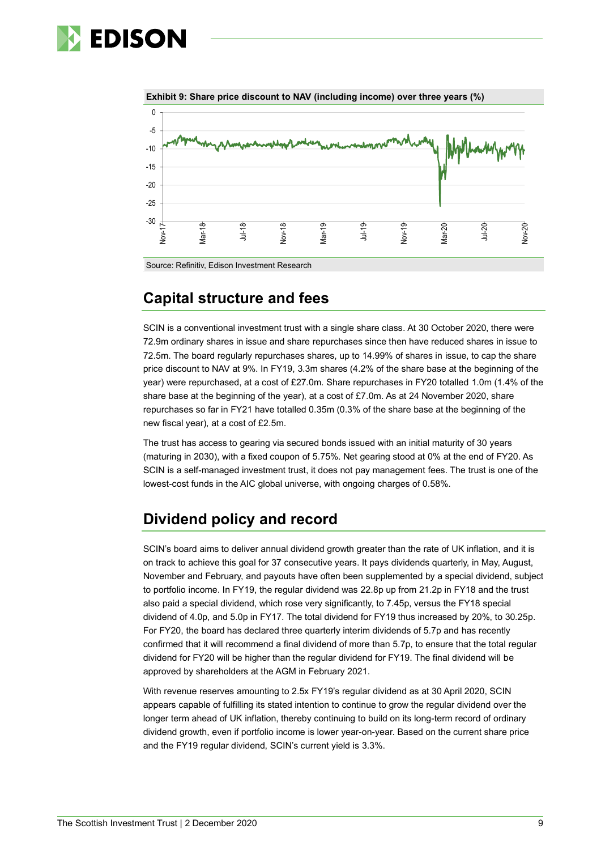# **EDISON**





### **Capital structure and fees**

SCIN is a conventional investment trust with a single share class. At 30 October 2020, there were 72.9m ordinary shares in issue and share repurchases since then have reduced shares in issue to 72.5m. The board regularly repurchases shares, up to 14.99% of shares in issue, to cap the share price discount to NAV at 9%. In FY19, 3.3m shares (4.2% of the share base at the beginning of the year) were repurchased, at a cost of £27.0m. Share repurchases in FY20 totalled 1.0m (1.4% of the share base at the beginning of the year), at a cost of £7.0m. As at 24 November 2020, share repurchases so far in FY21 have totalled 0.35m (0.3% of the share base at the beginning of the new fiscal year), at a cost of £2.5m.

The trust has access to gearing via secured bonds issued with an initial maturity of 30 years (maturing in 2030), with a fixed coupon of 5.75%. Net gearing stood at 0% at the end of FY20. As SCIN is a self-managed investment trust, it does not pay management fees. The trust is one of the lowest-cost funds in the AIC global universe, with ongoing charges of 0.58%.

## **Dividend policy and record**

SCIN's board aims to deliver annual dividend growth greater than the rate of UK inflation, and it is on track to achieve this goal for 37 consecutive years. It pays dividends quarterly, in May, August, November and February, and payouts have often been supplemented by a special dividend, subject to portfolio income. In FY19, the regular dividend was 22.8p up from 21.2p in FY18 and the trust also paid a special dividend, which rose very significantly, to 7.45p, versus the FY18 special dividend of 4.0p, and 5.0p in FY17. The total dividend for FY19 thus increased by 20%, to 30.25p. For FY20, the board has declared three quarterly interim dividends of 5.7p and has recently confirmed that it will recommend a final dividend of more than 5.7p, to ensure that the total regular dividend for FY20 will be higher than the regular dividend for FY19. The final dividend will be approved by shareholders at the AGM in February 2021.

With revenue reserves amounting to 2.5x FY19's regular dividend as at 30 April 2020, SCIN appears capable of fulfilling its stated intention to continue to grow the regular dividend over the longer term ahead of UK inflation, thereby continuing to build on its long-term record of ordinary dividend growth, even if portfolio income is lower year-on-year. Based on the current share price and the FY19 regular dividend, SCIN's current yield is 3.3%.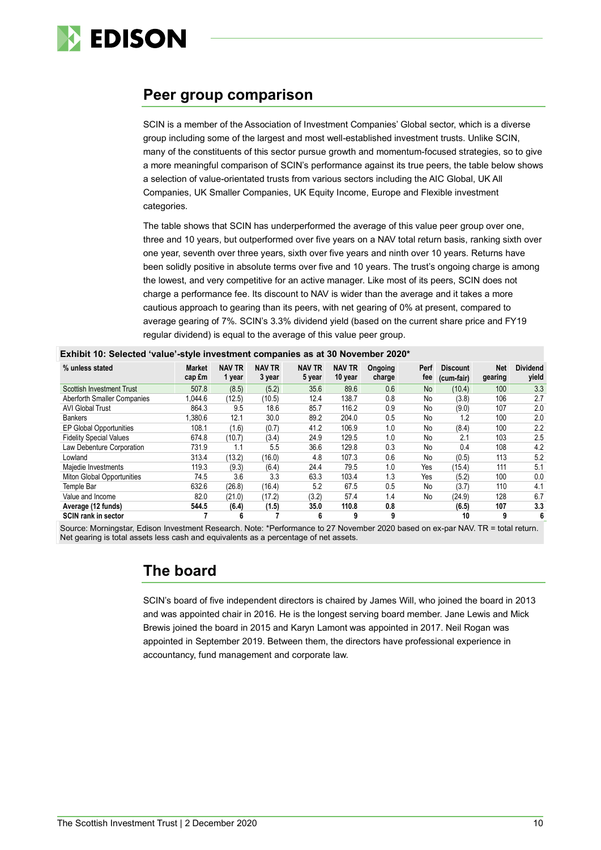

### **Peer group comparison**

SCIN is a member of the Association of Investment Companies' Global sector, which is a diverse group including some of the largest and most well-established investment trusts. Unlike SCIN, many of the constituents of this sector pursue growth and momentum-focused strategies, so to give a more meaningful comparison of SCIN's performance against its true peers, the table below shows a selection of value-orientated trusts from various sectors including the AIC Global, UK All Companies, UK Smaller Companies, UK Equity Income, Europe and Flexible investment categories.

The table shows that SCIN has underperformed the average of this value peer group over one, three and 10 years, but outperformed over five years on a NAV total return basis, ranking sixth over one year, seventh over three years, sixth over five years and ninth over 10 years. Returns have been solidly positive in absolute terms over five and 10 years. The trust's ongoing charge is among the lowest, and very competitive for an active manager. Like most of its peers, SCIN does not charge a performance fee. Its discount to NAV is wider than the average and it takes a more cautious approach to gearing than its peers, with net gearing of 0% at present, compared to average gearing of 7%. SCIN's 3.3% dividend yield (based on the current share price and FY19 regular dividend) is equal to the average of this value peer group.

| % unless stated                  | <b>Market</b><br>cap £m | <b>NAV TR</b><br>1 year | <b>NAV TR</b><br>3 year | <b>NAV TR</b><br>5 year | <b>NAV TR</b><br>10 year | Ongoing<br>charge | Perf<br>fee | <b>Discount</b><br>(cum-fair) | Net<br>gearing | <b>Dividend</b><br>yield |
|----------------------------------|-------------------------|-------------------------|-------------------------|-------------------------|--------------------------|-------------------|-------------|-------------------------------|----------------|--------------------------|
| <b>Scottish Investment Trust</b> | 507.8                   | (8.5)                   | (5.2)                   | 35.6                    | 89.6                     | 0.6               | No.         | (10.4)                        | 100            | 3.3                      |
| Aberforth Smaller Companies      | 1.044.6                 | (12.5)                  | (10.5)                  | 12.4                    | 138.7                    | 0.8               | No          | (3.8)                         | 106            | 2.7                      |
| <b>AVI Global Trust</b>          | 864.3                   | 9.5                     | 18.6                    | 85.7                    | 116.2                    | 0.9               | No          | (9.0)                         | 107            | 2.0                      |
| <b>Bankers</b>                   | .380.6                  | 12.1                    | 30.0                    | 89.2                    | 204.0                    | 0.5               | No          | 1.2                           | 100            | 2.0                      |
| <b>EP Global Opportunities</b>   | 108.1                   | (1.6)                   | (0.7)                   | 41.2                    | 106.9                    | 1.0               | No          | (8.4)                         | 100            | 2.2                      |
| <b>Fidelity Special Values</b>   | 674.8                   | (10.7)                  | (3.4)                   | 24.9                    | 129.5                    | 1.0               | No          | 2.1                           | 103            | 2.5                      |
| Law Debenture Corporation        | 731.9                   | 1.1                     | 5.5                     | 36.6                    | 129.8                    | 0.3               | No          | 0.4                           | 108            | 4.2                      |
| Lowland                          | 313.4                   | (13.2)                  | (16.0)                  | 4.8                     | 107.3                    | 0.6               | No.         | (0.5)                         | 113            | 5.2                      |
| Majedie Investments              | 119.3                   | (9.3)                   | (6.4)                   | 24.4                    | 79.5                     | 1.0               | Yes         | (15.4)                        | 111            | 5.1                      |
| Miton Global Opportunities       | 74.5                    | 3.6                     | 3.3                     | 63.3                    | 103.4                    | 1.3               | Yes         | (5.2)                         | 100            | 0.0                      |
| Temple Bar                       | 632.6                   | (26.8)                  | (16.4)                  | 5.2                     | 67.5                     | 0.5               | No          | (3.7)                         | 110            | 4.1                      |
| Value and Income                 | 82.0                    | (21.0)                  | (17.2)                  | (3.2)                   | 57.4                     | 1.4               | No          | (24.9)                        | 128            | 6.7                      |
| Average (12 funds)               | 544.5                   | (6.4)                   | (1.5)                   | 35.0                    | 110.8                    | 0.8               |             | (6.5)                         | 107            | 3.3                      |
| SCIN rank in sector              |                         | 6                       |                         | 6                       | 9                        | 9                 |             | 10                            | 9              | 6                        |

|  | Exhibit 10: Selected 'value'-style investment companies as at 30 November 2020* |  |  |
|--|---------------------------------------------------------------------------------|--|--|
|--|---------------------------------------------------------------------------------|--|--|

Source: Morningstar, Edison Investment Research. Note: \*Performance to 27 November 2020 based on ex-par NAV. TR = total return. Net gearing is total assets less cash and equivalents as a percentage of net assets.

## **The board**

SCIN's board of five independent directors is chaired by James Will, who joined the board in 2013 and was appointed chair in 2016. He is the longest serving board member. Jane Lewis and Mick Brewis joined the board in 2015 and Karyn Lamont was appointed in 2017. Neil Rogan was appointed in September 2019. Between them, the directors have professional experience in accountancy, fund management and corporate law.